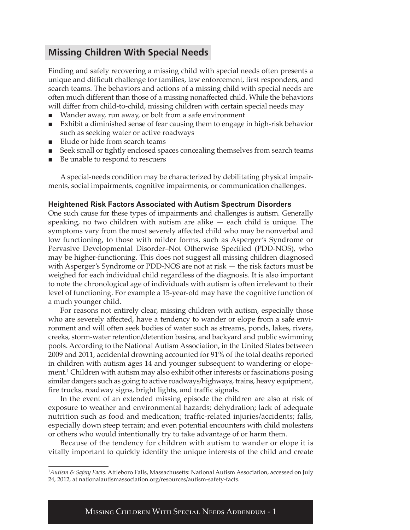# **Missing Children With Special Needs**

Finding and safely recovering a missing child with special needs often presents a unique and difficult challenge for families, law enforcement, first responders, and search teams. The behaviors and actions of a missing child with special needs are often much different than those of a missing nonaffected child. While the behaviors will differ from child-to-child, missing children with certain special needs may

- Wander away, run away, or bolt from a safe environment
- Exhibit a diminished sense of fear causing them to engage in high-risk behavior such as seeking water or active roadways
- Elude or hide from search teams
- Seek small or tightly enclosed spaces concealing themselves from search teams
- Be unable to respond to rescuers

A special-needs condition may be characterized by debilitating physical impairments, social impairments, cognitive impairments, or communication challenges.

### **Heightened Risk Factors Associated with Autism Spectrum Disorders**

One such cause for these types of impairments and challenges is autism. Generally speaking, no two children with autism are alike — each child is unique. The symptoms vary from the most severely affected child who may be nonverbal and low functioning, to those with milder forms, such as Asperger's Syndrome or Pervasive Developmental Disorder–Not Otherwise Specified (PDD-NOS), who may be higher-functioning. This does not suggest all missing children diagnosed with Asperger's Syndrome or PDD-NOS are not at risk — the risk factors must be weighed for each individual child regardless of the diagnosis. It is also important to note the chronological age of individuals with autism is often irrelevant to their level of functioning. For example a 15-year-old may have the cognitive function of a much younger child.

For reasons not entirely clear, missing children with autism, especially those who are severely affected, have a tendency to wander or elope from a safe environment and will often seek bodies of water such as streams, ponds, lakes, rivers, creeks, storm-water retention/detention basins, and backyard and public swimming pools. According to the National Autism Association, in the United States between 2009 and 2011, accidental drowning accounted for 91% of the total deaths reported in children with autism ages 14 and younger subsequent to wandering or elopement.<sup>1</sup> Children with autism may also exhibit other interests or fascinations posing similar dangers such as going to active roadways/highways, trains, heavy equipment, fire trucks, roadway signs, bright lights, and traffic signals.

In the event of an extended missing episode the children are also at risk of exposure to weather and environmental hazards; dehydration; lack of adequate nutrition such as food and medication; traffic-related injuries/accidents; falls, especially down steep terrain; and even potential encounters with child molesters or others who would intentionally try to take advantage of or harm them.

Because of the tendency for children with autism to wander or elope it is vitally important to quickly identify the unique interests of the child and create

Missing Children With Special Needs Addendum - 1

<sup>1</sup> *Autism & Safety Facts*. Attleboro Falls, Massachusetts: National Autism Association, accessed on July 24, 2012, at nationalautismassociation.org/resources/autism-safety-facts.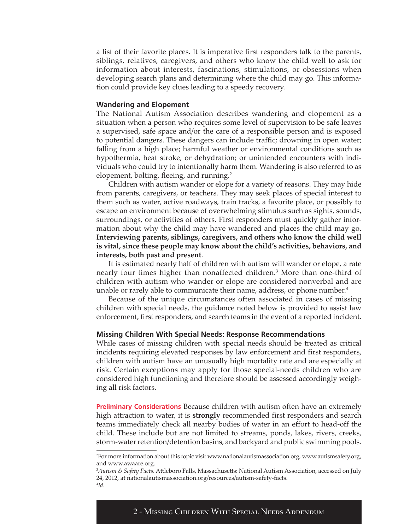a list of their favorite places. It is imperative first responders talk to the parents, siblings, relatives, caregivers, and others who know the child well to ask for information about interests, fascinations, stimulations, or obsessions when developing search plans and determining where the child may go. This information could provide key clues leading to a speedy recovery.

#### **Wandering and Elopement**

The National Autism Association describes wandering and elopement as a situation when a person who requires some level of supervision to be safe leaves a supervised, safe space and/or the care of a responsible person and is exposed to potential dangers. These dangers can include traffic; drowning in open water; falling from a high place; harmful weather or environmental conditions such as hypothermia, heat stroke, or dehydration; or unintended encounters with individuals who could try to intentionally harm them. Wandering is also referred to as elopement, bolting, fleeing, and running.<sup>2</sup>

Children with autism wander or elope for a variety of reasons. They may hide from parents, caregivers, or teachers. They may seek places of special interest to them such as water, active roadways, train tracks, a favorite place, or possibly to escape an environment because of overwhelming stimulus such as sights, sounds, surroundings, or activities of others. First responders must quickly gather information about why the child may have wandered and places the child may go. **Interviewing parents, siblings, caregivers, and others who know the child well is vital, since these people may know about the child's activities, behaviors, and interests, both past and present**.

It is estimated nearly half of children with autism will wander or elope, a rate nearly four times higher than nonaffected children.3 More than one-third of children with autism who wander or elope are considered nonverbal and are unable or rarely able to communicate their name, address, or phone number.<sup>4</sup>

Because of the unique circumstances often associated in cases of missing children with special needs, the guidance noted below is provided to assist law enforcement, first responders, and search teams in the event of a reported incident.

#### **Missing Children With Special Needs: Response Recommendations**

While cases of missing children with special needs should be treated as critical incidents requiring elevated responses by law enforcement and first responders, children with autism have an unusually high mortality rate and are especially at risk. Certain exceptions may apply for those special-needs children who are considered high functioning and therefore should be assessed accordingly weighing all risk factors.

**Preliminary Considerations** Because children with autism often have an extremely high attraction to water, it is **strongly** recommended first responders and search teams immediately check all nearby bodies of water in an effort to head-off the child. These include but are not limited to streams, ponds, lakes, rivers, creeks, storm-water retention/detention basins, and backyard and public swimming pools.

<sup>2</sup> For more information about this topic visit www.nationalautismassociation.org, www.autismsafety.org, and www.awaare.org.

<sup>3</sup> *Autism & Safety Facts*. Attleboro Falls, Massachusetts: National Autism Association, accessed on July 24, 2012, at nationalautismassociation.org/resources/autism-safety-facts. 4 *Id*.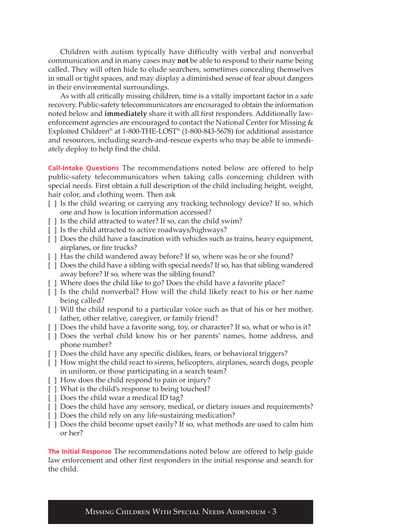Children with autism typically have difficulty with verbal and nonverbal communication and in many cases may **not** be able to respond to their name being called. They will often hide to elude searchers, sometimes concealing themselves in small or tight spaces, and may display a diminished sense of fear about dangers in their environmental surroundings.

As with all critically missing children, time is a vitally important factor in a safe recovery. Public-safety telecommunicators are encouraged to obtain the information noted below and **immediately** share it with all first responders. Additionally lawenforcement agencies are encouraged to contact the National Center for Missing & Exploited Children® at 1-800-THE-LOST® (1-800-843-5678) for additional assistance and resources, including search-and-rescue experts who may be able to immediately deploy to help find the child.

**Call-Intake Questions** The recommendations noted below are offered to help public-safety telecommunicators when taking calls concerning children with special needs. First obtain a full description of the child including height, weight, hair color, and clothing worn. Then ask

- [ ] Is the child wearing or carrying any tracking technology device? If so, which one and how is location information accessed?
- [ ] Is the child attracted to water? If so, can the child swim?
- [] Is the child attracted to active roadways/highways?
- [ ] Does the child have a fascination with vehicles such as trains, heavy equipment, airplanes, or fire trucks?
- [] Has the child wandered away before? If so, where was he or she found?
- [ ] Does the child have a sibling with special needs? If so, has that sibling wandered away before? If so, where was the sibling found?
- [ ] Where does the child like to go? Does the child have a favorite place?
- [ ] Is the child nonverbal? How will the child likely react to his or her name being called?
- [ ] Will the child respond to a particular voice such as that of his or her mother, father, other relative, caregiver, or family friend?
- [ ] Does the child have a favorite song, toy, or character? If so, what or who is it?
- [ ] Does the verbal child know his or her parents' names, home address, and phone number?
- [] Does the child have any specific dislikes, fears, or behavioral triggers?
- [ ] How might the child react to sirens, helicopters, airplanes, search dogs, people in uniform, or those participating in a search team?
- [ ] How does the child respond to pain or injury?
- [ ] What is the child's response to being touched?
- [ ] Does the child wear a medical ID tag?
- [ ] Does the child have any sensory, medical, or dietary issues and requirements?
- [ ] Does the child rely on any life-sustaining medication?
- [ ] Does the child become upset easily? If so, what methods are used to calm him or her?

**The Initial Response** The recommendations noted below are offered to help guide law enforcement and other first responders in the initial response and search for the child.

Missing Children With Special Needs Addendum - 3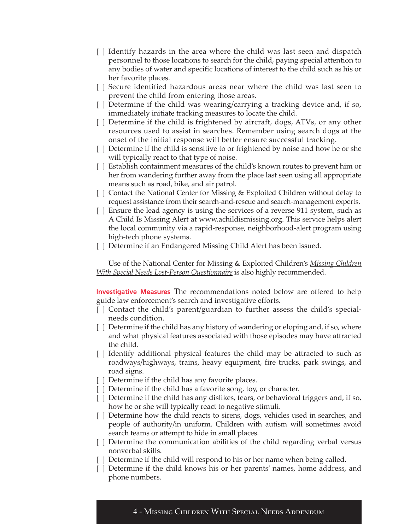- [ ] Identify hazards in the area where the child was last seen and dispatch personnel to those locations to search for the child, paying special attention to any bodies of water and specific locations of interest to the child such as his or her favorite places.
- [ ] Secure identified hazardous areas near where the child was last seen to prevent the child from entering those areas.
- [ ] Determine if the child was wearing/carrying a tracking device and, if so, immediately initiate tracking measures to locate the child.
- [ ] Determine if the child is frightened by aircraft, dogs, ATVs, or any other resources used to assist in searches. Remember using search dogs at the onset of the initial response will better ensure successful tracking.
- [ ] Determine if the child is sensitive to or frightened by noise and how he or she will typically react to that type of noise.
- [ ] Establish containment measures of the child's known routes to prevent him or her from wandering further away from the place last seen using all appropriate means such as road, bike, and air patrol.
- [ ] Contact the National Center for Missing & Exploited Children without delay to request assistance from their search-and-rescue and search-management experts.
- [ ] Ensure the lead agency is using the services of a reverse 911 system, such as A Child Is Missing Alert at www.achildismissing.org. This service helps alert the local community via a rapid-response, neighborhood-alert program using high-tech phone systems.
- [ ] Determine if an Endangered Missing Child Alert has been issued.

[Use of the National Center for Missing & Exploited Children's](http://www.missingkids.com/en_US/publications/SpecialNeeds_Questionnaire.pdf) *Missing Children With Special Needs Lost-Person Questionnaire* is also highly recommended.

**Investigative Measures** The recommendations noted below are offered to help guide law enforcement's search and investigative efforts.

- [ ] Contact the child's parent/guardian to further assess the child's specialneeds condition.
- [ ] Determine if the child has any history of wandering or eloping and, if so, where and what physical features associated with those episodes may have attracted the child.
- [ ] Identify additional physical features the child may be attracted to such as roadways/highways, trains, heavy equipment, fire trucks, park swings, and road signs.
- [ ] Determine if the child has any favorite places.
- [] Determine if the child has a favorite song, toy, or character.
- [ ] Determine if the child has any dislikes, fears, or behavioral triggers and, if so, how he or she will typically react to negative stimuli.
- [ ] Determine how the child reacts to sirens, dogs, vehicles used in searches, and people of authority/in uniform. Children with autism will sometimes avoid search teams or attempt to hide in small places.
- [ ] Determine the communication abilities of the child regarding verbal versus nonverbal skills.
- [ ] Determine if the child will respond to his or her name when being called.
- [ ] Determine if the child knows his or her parents' names, home address, and phone numbers.

4 - Missing Children With Special Needs Addendum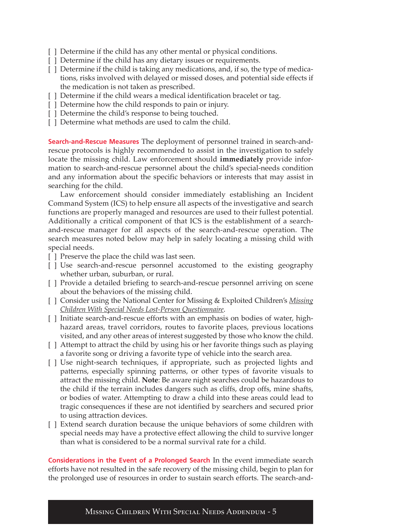- [] Determine if the child has any other mental or physical conditions.
- [] Determine if the child has any dietary issues or requirements.
- [ ] Determine if the child is taking any medications, and, if so, the type of medications, risks involved with delayed or missed doses, and potential side effects if the medication is not taken as prescribed.
- [ ] Determine if the child wears a medical identification bracelet or tag.
- [ ] Determine how the child responds to pain or injury.
- [ ] Determine the child's response to being touched.
- [  $\vert$  ] Determine what methods are used to calm the child.

**Search-and-Rescue Measures** The deployment of personnel trained in search-andrescue protocols is highly recommended to assist in the investigation to safely locate the missing child. Law enforcement should **immediately** provide information to search-and-rescue personnel about the child's special-needs condition and any information about the specific behaviors or interests that may assist in searching for the child.

Law enforcement should consider immediately establishing an Incident Command System (ICS) to help ensure all aspects of the investigative and search functions are properly managed and resources are used to their fullest potential. Additionally a critical component of that ICS is the establishment of a searchand-rescue manager for all aspects of the search-and-rescue operation. The search measures noted below may help in safely locating a missing child with special needs.

- [ ] Preserve the place the child was last seen.
- [ ] Use search-and-rescue personnel accustomed to the existing geography whether urban, suburban, or rural.
- [ ] Provide a detailed briefing to search-and-rescue personnel arriving on scene about the behaviors of the missing child.
- [ ] [Consider using the National Center for Missing & Exploited Children's](http://www.missingkids.com/en_US/publications/SpecialNeeds_Questionnaire.pdf) *Missing Children With Special Needs Lost-Person Questionnaire*.
- [ ] Initiate search-and-rescue efforts with an emphasis on bodies of water, highhazard areas, travel corridors, routes to favorite places, previous locations visited, and any other areas of interest suggested by those who know the child.
- [ ] Attempt to attract the child by using his or her favorite things such as playing a favorite song or driving a favorite type of vehicle into the search area.
- [ ] Use night-search techniques, if appropriate, such as projected lights and patterns, especially spinning patterns, or other types of favorite visuals to attract the missing child. **Note**: Be aware night searches could be hazardous to the child if the terrain includes dangers such as cliffs, drop offs, mine shafts, or bodies of water. Attempting to draw a child into these areas could lead to tragic consequences if these are not identified by searchers and secured prior to using attraction devices.
- [ ] Extend search duration because the unique behaviors of some children with special needs may have a protective effect allowing the child to survive longer than what is considered to be a normal survival rate for a child.

**Considerations in the Event of a Prolonged Search** In the event immediate search efforts have not resulted in the safe recovery of the missing child, begin to plan for the prolonged use of resources in order to sustain search efforts. The search-and-

Missing Children With Special Needs Addendum - 5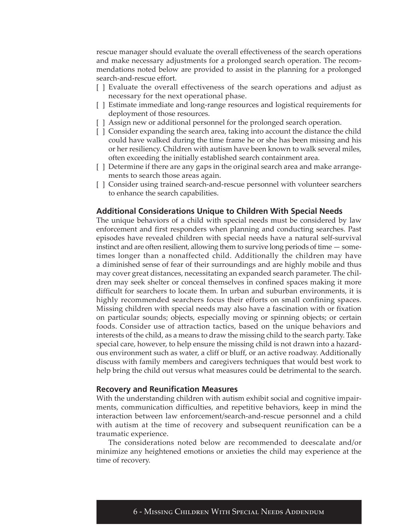rescue manager should evaluate the overall effectiveness of the search operations and make necessary adjustments for a prolonged search operation. The recommendations noted below are provided to assist in the planning for a prolonged search-and-rescue effort.

- [ ] Evaluate the overall effectiveness of the search operations and adjust as necessary for the next operational phase.
- [ ] Estimate immediate and long-range resources and logistical requirements for deployment of those resources.
- [] Assign new or additional personnel for the prolonged search operation.
- [ ] Consider expanding the search area, taking into account the distance the child could have walked during the time frame he or she has been missing and his or her resiliency. Children with autism have been known to walk several miles, often exceeding the initially established search containment area.
- [ ] Determine if there are any gaps in the original search area and make arrangements to search those areas again.
- [ ] Consider using trained search-and-rescue personnel with volunteer searchers to enhance the search capabilities.

## **Additional Considerations Unique to Children With Special Needs**

The unique behaviors of a child with special needs must be considered by law enforcement and first responders when planning and conducting searches. Past episodes have revealed children with special needs have a natural self-survival instinct and are often resilient, allowing them to survive long periods of time — sometimes longer than a nonaffected child. Additionally the children may have a diminished sense of fear of their surroundings and are highly mobile and thus may cover great distances, necessitating an expanded search parameter. The children may seek shelter or conceal themselves in confined spaces making it more difficult for searchers to locate them. In urban and suburban environments, it is highly recommended searchers focus their efforts on small confining spaces. Missing children with special needs may also have a fascination with or fixation on particular sounds; objects, especially moving or spinning objects; or certain foods. Consider use of attraction tactics, based on the unique behaviors and interests of the child, as a means to draw the missing child to the search party. Take special care, however, to help ensure the missing child is not drawn into a hazardous environment such as water, a cliff or bluff, or an active roadway. Additionally discuss with family members and caregivers techniques that would best work to help bring the child out versus what measures could be detrimental to the search.

## **Recovery and Reunification Measures**

With the understanding children with autism exhibit social and cognitive impairments, communication difficulties, and repetitive behaviors, keep in mind the interaction between law enforcement/search-and-rescue personnel and a child with autism at the time of recovery and subsequent reunification can be a traumatic experience.

The considerations noted below are recommended to deescalate and/or minimize any heightened emotions or anxieties the child may experience at the time of recovery.